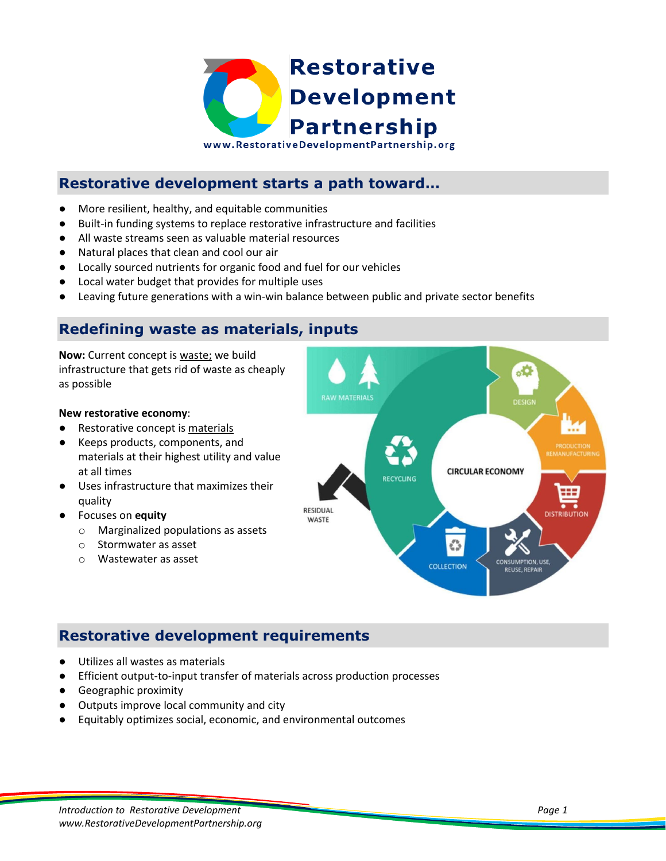

# **Restorative development starts a path toward…**

- More resilient, healthy, and equitable communities
- Built-in funding systems to replace restorative infrastructure and facilities
- All waste streams seen as valuable material resources
- Natural places that clean and cool our air
- Locally sourced nutrients for organic food and fuel for our vehicles
- Local water budget that provides for multiple uses
- Leaving future generations with a win-win balance between public and private sector benefits

### **Redefining waste as materials, inputs**

**Now:** Current concept is waste; we build infrastructure that gets rid of waste as cheaply as possible

#### **New restorative economy**:

- Restorative concept is materials
- Keeps products, components, and materials at their highest utility and value at all times
- Uses infrastructure that maximizes their quality
- Focuses on **equity**
	- o Marginalized populations as assets
	- o Stormwater as asset
	- o Wastewater as asset



### **Restorative development requirements**

- Utilizes all wastes as materials
- Efficient output-to-input transfer of materials across production processes
- Geographic proximity
- Outputs improve local community and city
- Equitably optimizes social, economic, and environmental outcomes

*Introduction to Restorative Development Page 1 www.RestorativeDevelopmentPartnership.org*